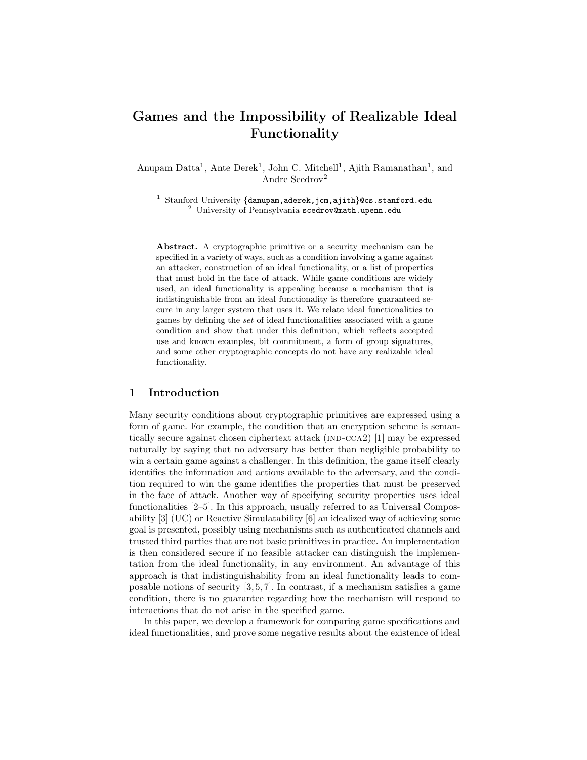# Games and the Impossibility of Realizable Ideal Functionality

Anupam Datta<sup>1</sup>, Ante Derek<sup>1</sup>, John C. Mitchell<sup>1</sup>, Ajith Ramanathan<sup>1</sup>, and Andre Scedrov 2

 $1$  Stanford University {danupam, aderek, jcm, ajith}@cs.stanford.edu <sup>2</sup> University of Pennsylvania scedrov@math.upenn.edu

Abstract. A cryptographic primitive or a security mechanism can be specified in a variety of ways, such as a condition involving a game against an attacker, construction of an ideal functionality, or a list of properties that must hold in the face of attack. While game conditions are widely used, an ideal functionality is appealing because a mechanism that is indistinguishable from an ideal functionality is therefore guaranteed secure in any larger system that uses it. We relate ideal functionalities to games by defining the set of ideal functionalities associated with a game condition and show that under this definition, which reflects accepted use and known examples, bit commitment, a form of group signatures, and some other cryptographic concepts do not have any realizable ideal functionality.

### 1 Introduction

Many security conditions about cryptographic primitives are expressed using a form of game. For example, the condition that an encryption scheme is semantically secure against chosen ciphertext attack ( $IND-CCA2$ ) [1] may be expressed naturally by saying that no adversary has better than negligible probability to win a certain game against a challenger. In this definition, the game itself clearly identifies the information and actions available to the adversary, and the condition required to win the game identifies the properties that must be preserved in the face of attack. Another way of specifying security properties uses ideal functionalities [2–5]. In this approach, usually referred to as Universal Composability [3] (UC) or Reactive Simulatability [6] an idealized way of achieving some goal is presented, possibly using mechanisms such as authenticated channels and trusted third parties that are not basic primitives in practice. An implementation is then considered secure if no feasible attacker can distinguish the implementation from the ideal functionality, in any environment. An advantage of this approach is that indistinguishability from an ideal functionality leads to composable notions of security  $[3, 5, 7]$ . In contrast, if a mechanism satisfies a game condition, there is no guarantee regarding how the mechanism will respond to interactions that do not arise in the specified game.

In this paper, we develop a framework for comparing game specifications and ideal functionalities, and prove some negative results about the existence of ideal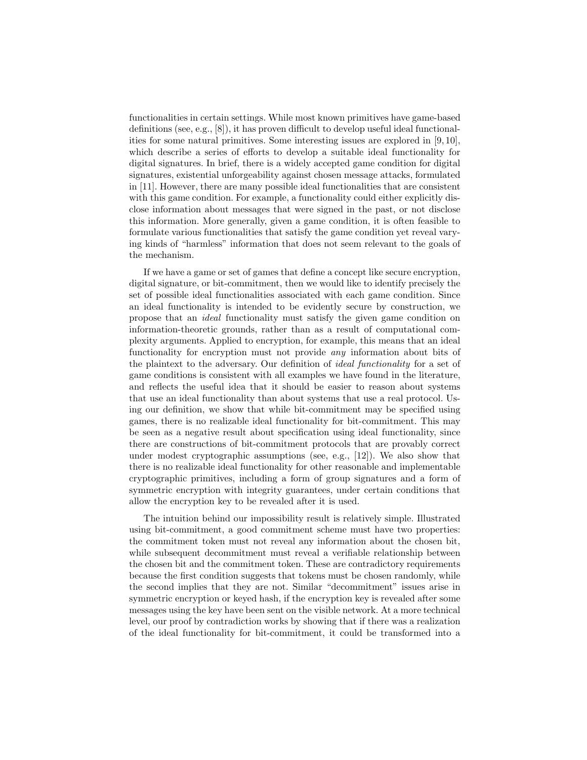functionalities in certain settings. While most known primitives have game-based definitions (see, e.g., [8]), it has proven difficult to develop useful ideal functionalities for some natural primitives. Some interesting issues are explored in [9, 10], which describe a series of efforts to develop a suitable ideal functionality for digital signatures. In brief, there is a widely accepted game condition for digital signatures, existential unforgeability against chosen message attacks, formulated in [11]. However, there are many possible ideal functionalities that are consistent with this game condition. For example, a functionality could either explicitly disclose information about messages that were signed in the past, or not disclose this information. More generally, given a game condition, it is often feasible to formulate various functionalities that satisfy the game condition yet reveal varying kinds of "harmless" information that does not seem relevant to the goals of the mechanism.

If we have a game or set of games that define a concept like secure encryption, digital signature, or bit-commitment, then we would like to identify precisely the set of possible ideal functionalities associated with each game condition. Since an ideal functionality is intended to be evidently secure by construction, we propose that an ideal functionality must satisfy the given game condition on information-theoretic grounds, rather than as a result of computational complexity arguments. Applied to encryption, for example, this means that an ideal functionality for encryption must not provide any information about bits of the plaintext to the adversary. Our definition of ideal functionality for a set of game conditions is consistent with all examples we have found in the literature, and reflects the useful idea that it should be easier to reason about systems that use an ideal functionality than about systems that use a real protocol. Using our definition, we show that while bit-commitment may be specified using games, there is no realizable ideal functionality for bit-commitment. This may be seen as a negative result about specification using ideal functionality, since there are constructions of bit-commitment protocols that are provably correct under modest cryptographic assumptions (see, e.g., [12]). We also show that there is no realizable ideal functionality for other reasonable and implementable cryptographic primitives, including a form of group signatures and a form of symmetric encryption with integrity guarantees, under certain conditions that allow the encryption key to be revealed after it is used.

The intuition behind our impossibility result is relatively simple. Illustrated using bit-commitment, a good commitment scheme must have two properties: the commitment token must not reveal any information about the chosen bit, while subsequent decommitment must reveal a verifiable relationship between the chosen bit and the commitment token. These are contradictory requirements because the first condition suggests that tokens must be chosen randomly, while the second implies that they are not. Similar "decommitment" issues arise in symmetric encryption or keyed hash, if the encryption key is revealed after some messages using the key have been sent on the visible network. At a more technical level, our proof by contradiction works by showing that if there was a realization of the ideal functionality for bit-commitment, it could be transformed into a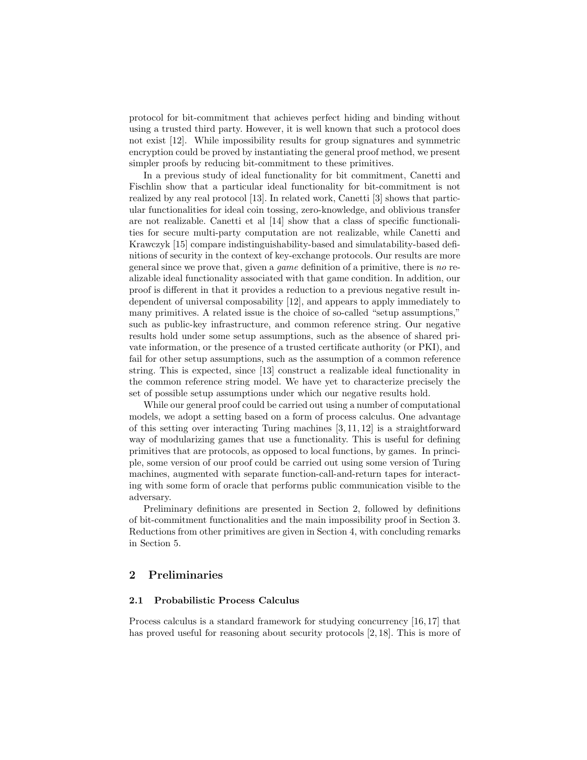protocol for bit-commitment that achieves perfect hiding and binding without using a trusted third party. However, it is well known that such a protocol does not exist [12]. While impossibility results for group signatures and symmetric encryption could be proved by instantiating the general proof method, we present simpler proofs by reducing bit-commitment to these primitives.

In a previous study of ideal functionality for bit commitment, Canetti and Fischlin show that a particular ideal functionality for bit-commitment is not realized by any real protocol [13]. In related work, Canetti [3] shows that particular functionalities for ideal coin tossing, zero-knowledge, and oblivious transfer are not realizable. Canetti et al [14] show that a class of specific functionalities for secure multi-party computation are not realizable, while Canetti and Krawczyk [15] compare indistinguishability-based and simulatability-based definitions of security in the context of key-exchange protocols. Our results are more general since we prove that, given a game definition of a primitive, there is no realizable ideal functionality associated with that game condition. In addition, our proof is different in that it provides a reduction to a previous negative result independent of universal composability [12], and appears to apply immediately to many primitives. A related issue is the choice of so-called "setup assumptions," such as public-key infrastructure, and common reference string. Our negative results hold under some setup assumptions, such as the absence of shared private information, or the presence of a trusted certificate authority (or PKI), and fail for other setup assumptions, such as the assumption of a common reference string. This is expected, since [13] construct a realizable ideal functionality in the common reference string model. We have yet to characterize precisely the set of possible setup assumptions under which our negative results hold.

While our general proof could be carried out using a number of computational models, we adopt a setting based on a form of process calculus. One advantage of this setting over interacting Turing machines  $[3, 11, 12]$  is a straightforward way of modularizing games that use a functionality. This is useful for defining primitives that are protocols, as opposed to local functions, by games. In principle, some version of our proof could be carried out using some version of Turing machines, augmented with separate function-call-and-return tapes for interacting with some form of oracle that performs public communication visible to the adversary.

Preliminary definitions are presented in Section 2, followed by definitions of bit-commitment functionalities and the main impossibility proof in Section 3. Reductions from other primitives are given in Section 4, with concluding remarks in Section 5.

# 2 Preliminaries

### 2.1 Probabilistic Process Calculus

Process calculus is a standard framework for studying concurrency [16, 17] that has proved useful for reasoning about security protocols [2, 18]. This is more of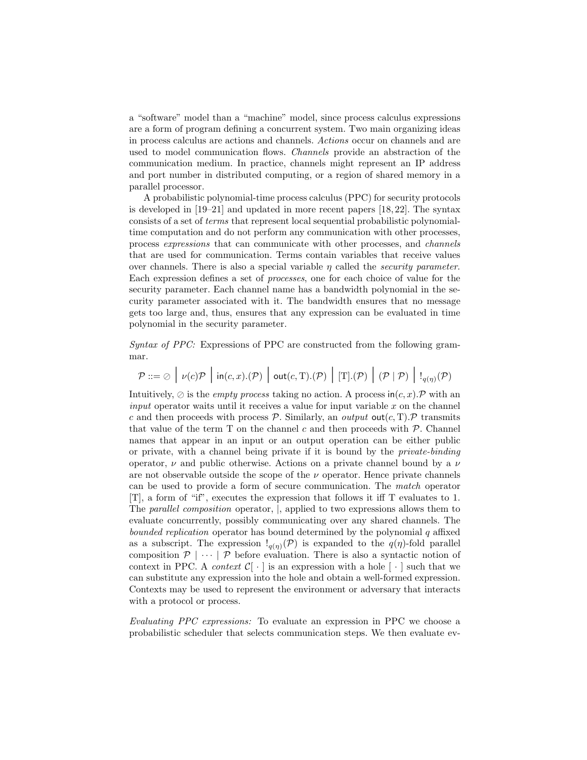a "software" model than a "machine" model, since process calculus expressions are a form of program defining a concurrent system. Two main organizing ideas in process calculus are actions and channels. Actions occur on channels and are used to model communication flows. Channels provide an abstraction of the communication medium. In practice, channels might represent an IP address and port number in distributed computing, or a region of shared memory in a parallel processor.

A probabilistic polynomial-time process calculus (PPC) for security protocols is developed in  $[19-21]$  and updated in more recent papers  $[18, 22]$ . The syntax consists of a set of terms that represent local sequential probabilistic polynomialtime computation and do not perform any communication with other processes, process expressions that can communicate with other processes, and channels that are used for communication. Terms contain variables that receive values over channels. There is also a special variable  $\eta$  called the *security parameter*. Each expression defines a set of processes, one for each choice of value for the security parameter. Each channel name has a bandwidth polynomial in the security parameter associated with it. The bandwidth ensures that no message gets too large and, thus, ensures that any expression can be evaluated in time polynomial in the security parameter.

Syntax of PPC: Expressions of PPC are constructed from the following grammar.

$$
\mathcal{P} ::= \oslash \left| \nu(c)\mathcal{P} \right| \text{ in}(c, x) . (\mathcal{P}) \left| \text{ out}(c, T) . (\mathcal{P}) \right| [T] . (\mathcal{P}) \left| (\mathcal{P} \mid \mathcal{P}) \right| !_{q(\eta)}(\mathcal{P})
$$

Intuitively,  $\oslash$  is the *empty process* taking no action. A process in(c, x). P with an *input* operator waits until it receives a value for input variable  $x$  on the channel c and then proceeds with process P. Similarly, an *output* out $(c, T)$ . P transmits that value of the term T on the channel c and then proceeds with  $P$ . Channel names that appear in an input or an output operation can be either public or private, with a channel being private if it is bound by the private-binding operator,  $\nu$  and public otherwise. Actions on a private channel bound by a  $\nu$ are not observable outside the scope of the  $\nu$  operator. Hence private channels can be used to provide a form of secure communication. The match operator [T], a form of "if", executes the expression that follows it iff T evaluates to 1. The parallel composition operator, |, applied to two expressions allows them to evaluate concurrently, possibly communicating over any shared channels. The bounded replication operator has bound determined by the polynomial  $q$  affixed as a subscript. The expression  $!_{q(\eta)}(\mathcal{P})$  is expanded to the  $q(\eta)$ -fold parallel composition  $P \mid \cdots \mid P$  before evaluation. There is also a syntactic notion of context in PPC. A *context*  $\mathcal{C}[\cdot]$  is an expression with a hole  $[\cdot]$  such that we can substitute any expression into the hole and obtain a well-formed expression. Contexts may be used to represent the environment or adversary that interacts with a protocol or process.

Evaluating PPC expressions: To evaluate an expression in PPC we choose a probabilistic scheduler that selects communication steps. We then evaluate ev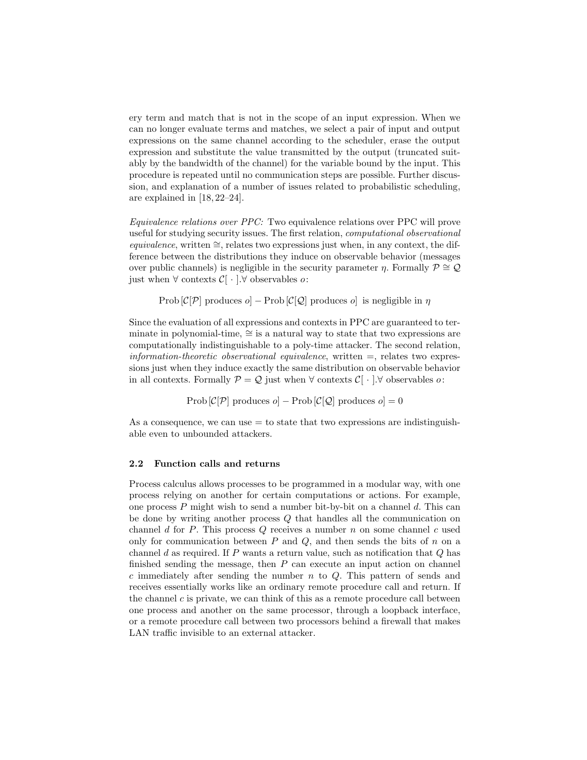ery term and match that is not in the scope of an input expression. When we can no longer evaluate terms and matches, we select a pair of input and output expressions on the same channel according to the scheduler, erase the output expression and substitute the value transmitted by the output (truncated suitably by the bandwidth of the channel) for the variable bound by the input. This procedure is repeated until no communication steps are possible. Further discussion, and explanation of a number of issues related to probabilistic scheduling, are explained in [18, 22–24].

Equivalence relations over PPC: Two equivalence relations over PPC will prove useful for studying security issues. The first relation, computational observational equivalence, written  $\cong$ , relates two expressions just when, in any context, the difference between the distributions they induce on observable behavior (messages over public channels) is negligible in the security parameter  $\eta$ . Formally  $\mathcal{P} \cong \mathcal{Q}$ just when  $\forall$  contexts  $\mathcal{C}[\cdot]$ .  $\forall$  observables *o*:

Prob  $[\mathcal{C}[\mathcal{P}]$  produces  $o$  – Prob  $[\mathcal{C}[\mathcal{Q}]$  produces  $o$  is negligible in  $\eta$ 

Since the evaluation of all expressions and contexts in PPC are guaranteed to terminate in polynomial-time,  $\cong$  is a natural way to state that two expressions are computationally indistinguishable to a poly-time attacker. The second relation, information-theoretic observational equivalence, written  $=$ , relates two expressions just when they induce exactly the same distribution on observable behavior in all contexts. Formally  $\mathcal{P} = \mathcal{Q}$  just when  $\forall$  contexts  $\mathcal{C}[\cdot]$ .  $\forall$  observables  $o$ :

Prob  $[\mathcal{C}[\mathcal{P}]$  produces  $o]$  – Prob  $[\mathcal{C}[\mathcal{Q}]$  produces  $o] = 0$ 

As a consequence, we can use  $=$  to state that two expressions are indistinguishable even to unbounded attackers.

### 2.2 Function calls and returns

Process calculus allows processes to be programmed in a modular way, with one process relying on another for certain computations or actions. For example, one process  $P$  might wish to send a number bit-by-bit on a channel  $d$ . This can be done by writing another process Q that handles all the communication on channel d for  $P$ . This process  $Q$  receives a number  $n$  on some channel  $c$  used only for communication between  $P$  and  $Q$ , and then sends the bits of  $n$  on a channel d as required. If  $P$  wants a return value, such as notification that  $Q$  has finished sending the message, then  $P$  can execute an input action on channel  $c$  immediately after sending the number  $n$  to  $Q$ . This pattern of sends and receives essentially works like an ordinary remote procedure call and return. If the channel  $c$  is private, we can think of this as a remote procedure call between one process and another on the same processor, through a loopback interface, or a remote procedure call between two processors behind a firewall that makes LAN traffic invisible to an external attacker.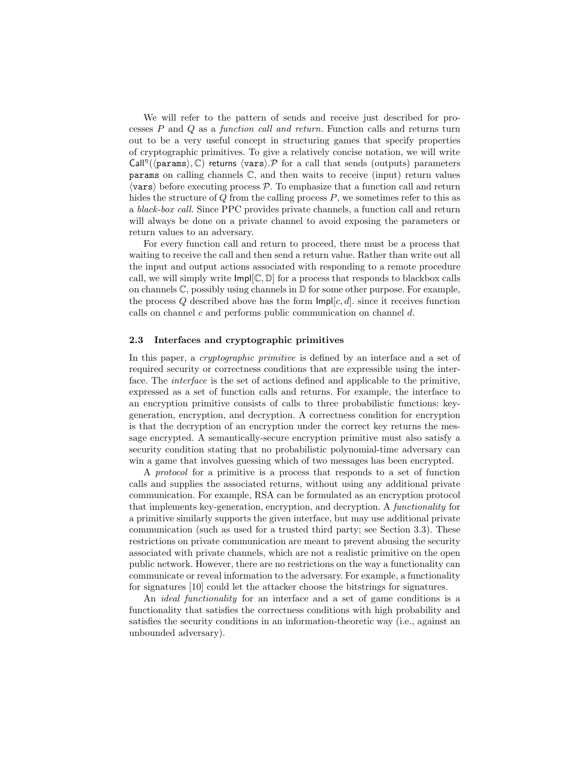We will refer to the pattern of sends and receive just described for processes P and Q as a function call and return. Function calls and returns turn out to be a very useful concept in structuring games that specify properties of cryptographic primitives. To give a relatively concise notation, we will write Call<sup>η</sup>((params), C) returns (vars). P for a call that sends (outputs) parameters params on calling channels C, and then waits to receive (input) return values  $\langle \text{vars} \rangle$  before executing process  $P$ . To emphasize that a function call and return hides the structure of  $Q$  from the calling process  $P$ , we sometimes refer to this as a black-box call. Since PPC provides private channels, a function call and return will always be done on a private channel to avoid exposing the parameters or return values to an adversary.

For every function call and return to proceed, there must be a process that waiting to receive the call and then send a return value. Rather than write out all the input and output actions associated with responding to a remote procedure call, we will simply write  $\text{Impl}(\mathbb{C}, \mathbb{D})$  for a process that responds to blackbox calls on channels  $\mathbb{C}$ , possibly using channels in  $\mathbb{D}$  for some other purpose. For example, the process  $Q$  described above has the form  $\text{Impl}[c, d]$ , since it receives function calls on channel c and performs public communication on channel d.

#### 2.3 Interfaces and cryptographic primitives

In this paper, a *cryptographic primitive* is defined by an interface and a set of required security or correctness conditions that are expressible using the interface. The interface is the set of actions defined and applicable to the primitive, expressed as a set of function calls and returns. For example, the interface to an encryption primitive consists of calls to three probabilistic functions: keygeneration, encryption, and decryption. A correctness condition for encryption is that the decryption of an encryption under the correct key returns the message encrypted. A semantically-secure encryption primitive must also satisfy a security condition stating that no probabilistic polynomial-time adversary can win a game that involves guessing which of two messages has been encrypted.

A protocol for a primitive is a process that responds to a set of function calls and supplies the associated returns, without using any additional private communication. For example, RSA can be formulated as an encryption protocol that implements key-generation, encryption, and decryption. A functionality for a primitive similarly supports the given interface, but may use additional private communication (such as used for a trusted third party; see Section 3.3). These restrictions on private communication are meant to prevent abusing the security associated with private channels, which are not a realistic primitive on the open public network. However, there are no restrictions on the way a functionality can communicate or reveal information to the adversary. For example, a functionality for signatures [10] could let the attacker choose the bitstrings for signatures.

An *ideal functionality* for an interface and a set of game conditions is a functionality that satisfies the correctness conditions with high probability and satisfies the security conditions in an information-theoretic way (i.e., against an unbounded adversary).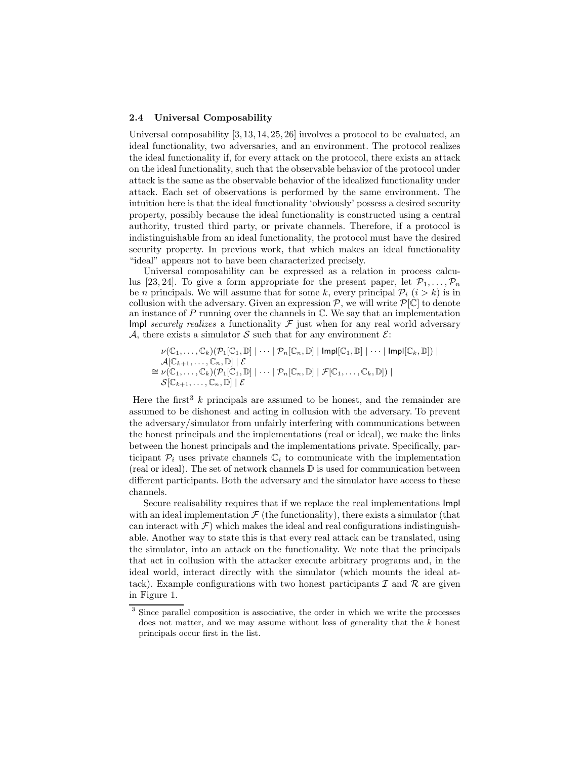#### 2.4 Universal Composability

Universal composability [3, 13, 14, 25, 26] involves a protocol to be evaluated, an ideal functionality, two adversaries, and an environment. The protocol realizes the ideal functionality if, for every attack on the protocol, there exists an attack on the ideal functionality, such that the observable behavior of the protocol under attack is the same as the observable behavior of the idealized functionality under attack. Each set of observations is performed by the same environment. The intuition here is that the ideal functionality 'obviously' possess a desired security property, possibly because the ideal functionality is constructed using a central authority, trusted third party, or private channels. Therefore, if a protocol is indistinguishable from an ideal functionality, the protocol must have the desired security property. In previous work, that which makes an ideal functionality "ideal" appears not to have been characterized precisely.

Universal composability can be expressed as a relation in process calculus [23, 24]. To give a form appropriate for the present paper, let  $\mathcal{P}_1, \ldots, \mathcal{P}_n$ be *n* principals. We will assume that for some k, every principal  $P_i$  ( $i > k$ ) is in collusion with the adversary. Given an expression  $P$ , we will write  $P[\mathbb{C}]$  to denote an instance of  $P$  running over the channels in  $\mathbb{C}$ . We say that an implementation Impl securely realizes a functionality  $\mathcal F$  just when for any real world adversary A, there exists a simulator S such that for any environment  $\mathcal{E}$ :

$$
\nu(\mathbb{C}_1, \ldots, \mathbb{C}_k)(\mathcal{P}_1[\mathbb{C}_1, \mathbb{D}] \mid \cdots \mid \mathcal{P}_n[\mathbb{C}_n, \mathbb{D}] \mid \text{Impl}[\mathbb{C}_1, \mathbb{D}] \mid \cdots \mid \text{Impl}[\mathbb{C}_k, \mathbb{D}]) \mid \mathcal{A}[\mathbb{C}_{k+1}, \ldots, \mathbb{C}_n, \mathbb{D}] \mid \mathcal{E} \cong \nu(\mathbb{C}_1, \ldots, \mathbb{C}_k)(\mathcal{P}_1[\mathbb{C}_1, \mathbb{D}] \mid \cdots \mid \mathcal{P}_n[\mathbb{C}_n, \mathbb{D}] \mid \mathcal{F}[\mathbb{C}_1, \ldots, \mathbb{C}_k, \mathbb{D}]) \mid \mathcal{S}[\mathbb{C}_{k+1}, \ldots, \mathbb{C}_n, \mathbb{D}] \mid \mathcal{E}
$$

Here the first<sup>3</sup> k principals are assumed to be honest, and the remainder are assumed to be dishonest and acting in collusion with the adversary. To prevent the adversary/simulator from unfairly interfering with communications between the honest principals and the implementations (real or ideal), we make the links between the honest principals and the implementations private. Specifically, participant  $\mathcal{P}_i$  uses private channels  $\mathbb{C}_i$  to communicate with the implementation (real or ideal). The set of network channels D is used for communication between different participants. Both the adversary and the simulator have access to these channels.

Secure realisability requires that if we replace the real implementations Impl with an ideal implementation  $\mathcal F$  (the functionality), there exists a simulator (that can interact with  $\mathcal{F}$ ) which makes the ideal and real configurations indistinguishable. Another way to state this is that every real attack can be translated, using the simulator, into an attack on the functionality. We note that the principals that act in collusion with the attacker execute arbitrary programs and, in the ideal world, interact directly with the simulator (which mounts the ideal attack). Example configurations with two honest participants  $\mathcal I$  and  $\mathcal R$  are given in Figure 1.

<sup>&</sup>lt;sup>3</sup> Since parallel composition is associative, the order in which we write the processes does not matter, and we may assume without loss of generality that the  $k$  honest principals occur first in the list.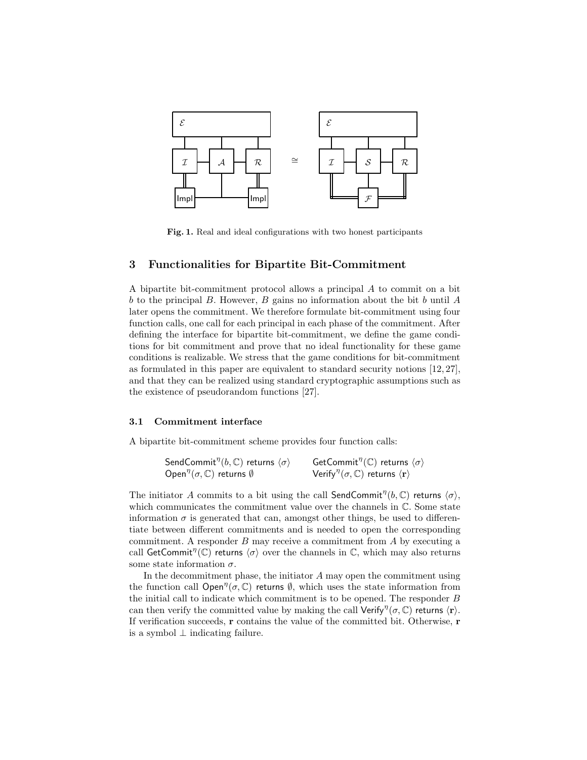

Fig. 1. Real and ideal configurations with two honest participants

# 3 Functionalities for Bipartite Bit-Commitment

A bipartite bit-commitment protocol allows a principal A to commit on a bit  $b$  to the principal  $B$ . However,  $B$  gains no information about the bit  $b$  until  $A$ later opens the commitment. We therefore formulate bit-commitment using four function calls, one call for each principal in each phase of the commitment. After defining the interface for bipartite bit-commitment, we define the game conditions for bit commitment and prove that no ideal functionality for these game conditions is realizable. We stress that the game conditions for bit-commitment as formulated in this paper are equivalent to standard security notions [12, 27], and that they can be realized using standard cryptographic assumptions such as the existence of pseudorandom functions [27].

#### 3.1 Commitment interface

A bipartite bit-commitment scheme provides four function calls:

| SendCommit $^{\eta}(b, \mathbb{C})$ returns $\langle \sigma \rangle$ | GetCommit <sup><math>\eta</math></sup> (C) returns $\langle \sigma \rangle$                          |
|----------------------------------------------------------------------|------------------------------------------------------------------------------------------------------|
| Open $^{\eta}(\sigma, \mathbb{C})$ returns $\emptyset$               | Verify <sup><math>\eta</math></sup> ( $\sigma$ , $\mathbb{C}$ ) returns $\langle \mathbf{r} \rangle$ |

The initiator A commits to a bit using the call SendCommit<sup> $\eta$ </sup>( $b$ ,  $\mathbb{C}$ ) returns  $\langle \sigma \rangle$ , which communicates the commitment value over the channels in C. Some state information  $\sigma$  is generated that can, amongst other things, be used to differentiate between different commitments and is needed to open the corresponding commitment. A responder  $B$  may receive a commitment from  $A$  by executing a call GetCommit<sup> $\eta$ </sup>(C) returns  $\langle \sigma \rangle$  over the channels in C, which may also returns some state information  $\sigma$ .

In the decommitment phase, the initiator  $A$  may open the commitment using the function call  $Open^{\eta}(\sigma, \mathbb{C})$  returns  $\emptyset$ , which uses the state information from the initial call to indicate which commitment is to be opened. The responder B can then verify the committed value by making the call  $\mathsf{Verify}^{\eta}(\sigma, \mathbb{C})$  returns  $\langle \mathbf{r} \rangle$ . If verification succeeds,  $\bf{r}$  contains the value of the committed bit. Otherwise,  $\bf{r}$ is a symbol  $\perp$  indicating failure.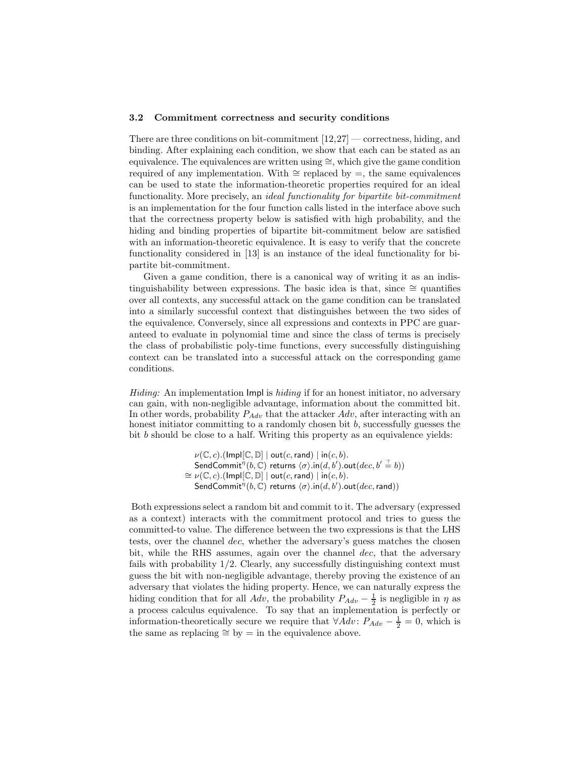#### 3.2 Commitment correctness and security conditions

There are three conditions on bit-commitment  $[12,27]$  — correctness, hiding, and binding. After explaining each condition, we show that each can be stated as an equivalence. The equivalences are written using ∼=, which give the game condition required of any implementation. With  $\cong$  replaced by =, the same equivalences can be used to state the information-theoretic properties required for an ideal functionality. More precisely, an ideal functionality for bipartite bit-commitment is an implementation for the four function calls listed in the interface above such that the correctness property below is satisfied with high probability, and the hiding and binding properties of bipartite bit-commitment below are satisfied with an information-theoretic equivalence. It is easy to verify that the concrete functionality considered in [13] is an instance of the ideal functionality for bipartite bit-commitment.

Given a game condition, there is a canonical way of writing it as an indistinguishability between expressions. The basic idea is that, since  $\cong$  quantifies over all contexts, any successful attack on the game condition can be translated into a similarly successful context that distinguishes between the two sides of the equivalence. Conversely, since all expressions and contexts in PPC are guaranteed to evaluate in polynomial time and since the class of terms is precisely the class of probabilistic poly-time functions, every successfully distinguishing context can be translated into a successful attack on the corresponding game conditions.

Hiding: An implementation Impl is hiding if for an honest initiator, no adversary can gain, with non-negligible advantage, information about the committed bit. In other words, probability  $P_{Adv}$  that the attacker  $Adv$ , after interacting with an honest initiator committing to a randomly chosen bit  $b$ , successfully guesses the bit b should be close to a half. Writing this property as an equivalence yields:

> $\nu(\mathbb{C}, c)$ .(Impl $[\mathbb{C}, \mathbb{D}]$  | out $(c, \text{rand})$  | in $(c, b)$ .  $\mathsf{SendCommit}^\eta(b,\mathbb C)$  returns  $\langle \sigma \rangle .\mathsf{in}(d, b').\mathsf{out}(dec, b' \stackrel{?}{=} b))$  $\cong \nu(\mathbb{C}, c)$ .(Impl $[\mathbb{C}, \mathbb{D}]$  | out(c, rand) | in(c, b). SendCommit $^{\eta}(b, \mathbb{C})$  returns  $\langle \sigma \rangle$ .in $(d, b')$ .out $(dec, \textsf{rand}))$

Both expressions select a random bit and commit to it. The adversary (expressed as a context) interacts with the commitment protocol and tries to guess the committed-to value. The difference between the two expressions is that the LHS tests, over the channel dec, whether the adversary's guess matches the chosen bit, while the RHS assumes, again over the channel dec, that the adversary fails with probability 1/2. Clearly, any successfully distinguishing context must guess the bit with non-negligible advantage, thereby proving the existence of an adversary that violates the hiding property. Hence, we can naturally express the hiding condition that for all  $Adv$ , the probability  $P_{Adv} - \frac{1}{2}$  is negligible in  $\eta$  as a process calculus equivalence. To say that an implementation is perfectly or information-theoretically secure we require that  $\forall Adv: P_{Adv} - \frac{1}{2} = 0$ , which is the same as replacing  $\cong$  by  $=$  in the equivalence above.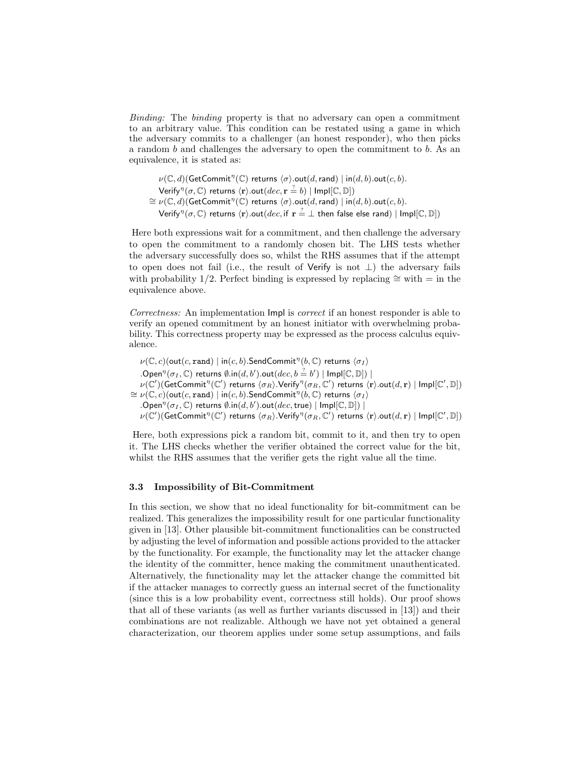Binding: The binding property is that no adversary can open a commitment to an arbitrary value. This condition can be restated using a game in which the adversary commits to a challenger (an honest responder), who then picks a random  $b$  and challenges the adversary to open the commitment to  $b$ . As an equivalence, it is stated as:

 $\nu(\mathbb{C},d)$ (GetCommit $^{\eta}(\mathbb{C})$  returns  $\langle \sigma \rangle$ .out $(d, \mathsf{rand}) \mid \mathsf{in}(d, b)$ .out $(c, b)$ . Verify $^{\eta}(\sigma, \mathbb{C})$  returns  $\langle \mathbf{r} \rangle$ .out $(dec, \mathbf{r} \stackrel{?}{=} b) \mid \mathsf{Impl}[\mathbb{C}, \mathbb{D}])$  $\cong \nu(\mathbb{C},d)$ (GetCommit" $(\mathbb{C})$  returns  $\langle \sigma \rangle$ .out $(d, {\mathsf{rand}}) \mid {\mathsf{in}}(d, b) .$ out $(c, b).$  $\mathsf{Verify}^\eta(\sigma, \mathbb{C})$  returns  $\langle \mathbf{r} \rangle.\mathsf{out}(dec, \mathsf{if}\ \mathbf{r} \stackrel{\text{\tiny ?}}{=} \bot$  then false else rand)  $|$  Impl $[\mathbb{C}, \mathbb{D}])$ 

Here both expressions wait for a commitment, and then challenge the adversary to open the commitment to a randomly chosen bit. The LHS tests whether the adversary successfully does so, whilst the RHS assumes that if the attempt to open does not fail (i.e., the result of Verify is not ⊥) the adversary fails with probability 1/2. Perfect binding is expressed by replacing  $\cong$  with  $=$  in the equivalence above.

Correctness: An implementation Impl is correct if an honest responder is able to verify an opened commitment by an honest initiator with overwhelming probability. This correctness property may be expressed as the process calculus equivalence.

 $\nu(\mathbb{C},c)$ (out $(c, \texttt{rand}) \mid \textsf{in}(c,b)$ .SendCommit $^{\eta}(b, \mathbb{C})$  returns  $\langle \sigma_I \rangle$ .Open $^{\eta}(\sigma_I, \mathbb{C})$  returns  $\emptyset$ .in $(d, b').$ out $(dec, b \stackrel{?}{=} b') \mid \mathsf{Impl}[\mathbb{C}, \mathbb{D}]) \mid$  $\nu(\mathbb{C}^\prime)$ (GetCommit $^\eta(\mathbb{C}^\prime)$  returns  $\langle\sigma_R\rangle$ .Verify $^\eta(\sigma_R,\mathbb{C}^\prime)$  returns  $\langle{\bf r}\rangle.$ out $(d,{\bf r})\mid$ Impl $[\mathbb{C}^\prime,\mathbb{D}])$  $\cong \nu(\mathbb{C},c)({\mathsf{out}}(c,{\mathsf{rand}})\mid {\mathsf{in}}(c,b).{\mathsf{SendCommit}}^{\eta}(b,\mathbb{C})$  returns  $\langle \sigma_I\rangle$  $\mathsf{LOpen}^{\eta}(\sigma_I,\mathbb{C})$  returns  $\emptyset.\mathsf{in}(d,b').\mathsf{out}(dec,\mathsf{true}) \mid \mathsf{Impl}[\mathbb{C},\mathbb{D}]) \mid$  $\nu(\mathbb{C}^\prime)$ (GetCommit $^\eta(\mathbb{C}^\prime)$  returns  $\langle \sigma_R \rangle$ .Verify $^\eta(\sigma_R, \mathbb{C}^\prime)$  returns  $\langle \mathbf{r} \rangle$ .out $(d, \mathbf{r}) \mid \mathsf{Impl}[\mathbb{C}^\prime, \mathbb{D}]$ )

Here, both expressions pick a random bit, commit to it, and then try to open it. The LHS checks whether the verifier obtained the correct value for the bit, whilst the RHS assumes that the verifier gets the right value all the time.

#### 3.3 Impossibility of Bit-Commitment

In this section, we show that no ideal functionality for bit-commitment can be realized. This generalizes the impossibility result for one particular functionality given in [13]. Other plausible bit-commitment functionalities can be constructed by adjusting the level of information and possible actions provided to the attacker by the functionality. For example, the functionality may let the attacker change the identity of the committer, hence making the commitment unauthenticated. Alternatively, the functionality may let the attacker change the committed bit if the attacker manages to correctly guess an internal secret of the functionality (since this is a low probability event, correctness still holds). Our proof shows that all of these variants (as well as further variants discussed in [13]) and their combinations are not realizable. Although we have not yet obtained a general characterization, our theorem applies under some setup assumptions, and fails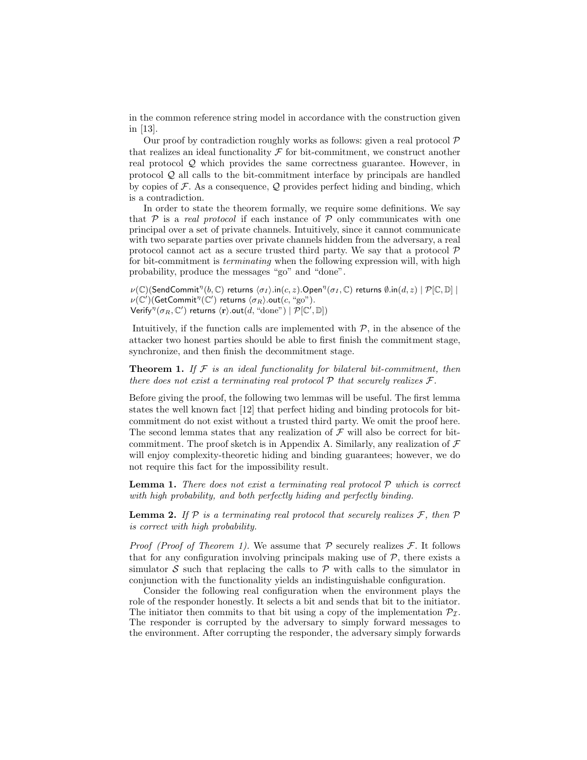in the common reference string model in accordance with the construction given in [13].

Our proof by contradiction roughly works as follows: given a real protocol  $P$ that realizes an ideal functionality  $\mathcal F$  for bit-commitment, we construct another real protocol Q which provides the same correctness guarantee. However, in protocol Q all calls to the bit-commitment interface by principals are handled by copies of  $\mathcal F$ . As a consequence,  $\mathcal Q$  provides perfect hiding and binding, which is a contradiction.

In order to state the theorem formally, we require some definitions. We say that  $P$  is a *real protocol* if each instance of  $P$  only communicates with one principal over a set of private channels. Intuitively, since it cannot communicate with two separate parties over private channels hidden from the adversary, a real protocol cannot act as a secure trusted third party. We say that a protocol  $\mathcal P$ for bit-commitment is terminating when the following expression will, with high probability, produce the messages "go" and "done".

 $\nu(\mathbb{C})(\mathsf{SendCommit^{\eta}}(b,\mathbb{C})$  returns  $\langle \sigma_I \rangle.\mathsf{in}(c,z).\mathsf{Open}^{\eta}(\sigma_I,\mathbb{C})$  returns  $\emptyset.\mathsf{in}(d,z)\mid \mathcal{P}[\mathbb{C},\mathbb{D}] \mid$  $\nu(\mathbb{C}^\prime)$ (GetCommit $^\eta(\mathbb{C}^\prime)$  returns  $\langle \sigma_R \rangle$  out $(c, \text{``go''}).$  $\mathsf{Verify}^\eta(\sigma_R,{\mathbb C}')$  returns  $\langle \mathbf{r} \rangle.\mathsf{out}(d, \text{``done''}) \mid \mathcal{P}[\mathbb{C}',\mathbb{D}])$ 

Intuitively, if the function calls are implemented with  $P$ , in the absence of the attacker two honest parties should be able to first finish the commitment stage, synchronize, and then finish the decommitment stage.

**Theorem 1.** If  $F$  is an ideal functionality for bilateral bit-commitment, then there does not exist a terminating real protocol  $P$  that securely realizes  $\mathcal{F}$ .

Before giving the proof, the following two lemmas will be useful. The first lemma states the well known fact [12] that perfect hiding and binding protocols for bitcommitment do not exist without a trusted third party. We omit the proof here. The second lemma states that any realization of  $\mathcal F$  will also be correct for bitcommitment. The proof sketch is in Appendix A. Similarly, any realization of  $\mathcal F$ will enjoy complexity-theoretic hiding and binding guarantees; however, we do not require this fact for the impossibility result.

**Lemma 1.** There does not exist a terminating real protocol  $P$  which is correct with high probability, and both perfectly hiding and perfectly binding.

**Lemma 2.** If  $P$  is a terminating real protocol that securely realizes  $F$ , then  $P$ is correct with high probability.

*Proof (Proof of Theorem 1).* We assume that  $P$  securely realizes  $F$ . It follows that for any configuration involving principals making use of  $P$ , there exists a simulator  $S$  such that replacing the calls to  $P$  with calls to the simulator in conjunction with the functionality yields an indistinguishable configuration.

Consider the following real configuration when the environment plays the role of the responder honestly. It selects a bit and sends that bit to the initiator. The initiator then commits to that bit using a copy of the implementation  $\mathcal{P}_{\mathcal{I}}$ . The responder is corrupted by the adversary to simply forward messages to the environment. After corrupting the responder, the adversary simply forwards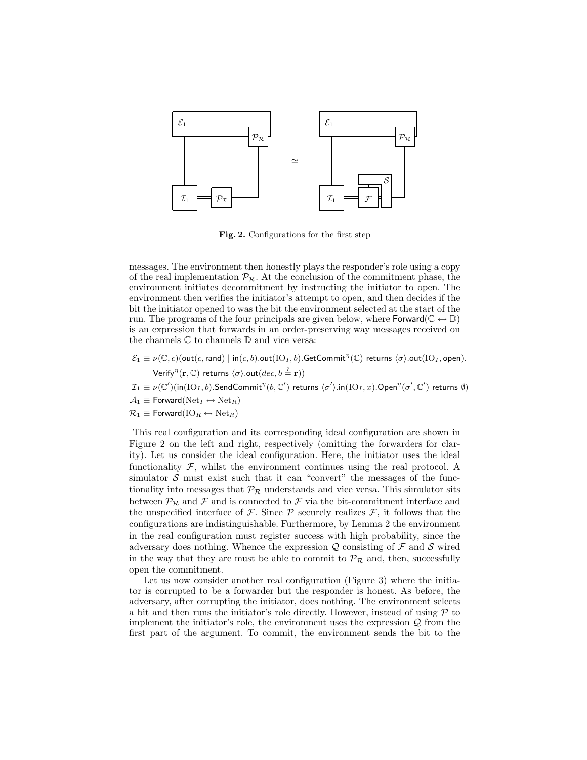

Fig. 2. Configurations for the first step

messages. The environment then honestly plays the responder's role using a copy of the real implementation  $\mathcal{P}_{\mathcal{R}}$ . At the conclusion of the commitment phase, the environment initiates decommitment by instructing the initiator to open. The environment then verifies the initiator's attempt to open, and then decides if the bit the initiator opened to was the bit the environment selected at the start of the run. The programs of the four principals are given below, where **Forward**( $\mathbb{C} \leftrightarrow \mathbb{D}$ ) is an expression that forwards in an order-preserving way messages received on the channels  $\mathbb C$  to channels  $\mathbb D$  and vice versa:

 $\mathcal{E}_1 \equiv \nu(\mathbb{C}, c)$ (out $(c, \text{rand}) \mid \text{in}(c, b)$ .out $(\text{IO}_I, b)$ .GetCommit $^{\eta}(\mathbb{C})$  returns  $\langle \sigma \rangle$ .out $(\text{IO}_I, \text{open})$ . Verify $\mathbf{y}^{\eta}(\mathbf{r},\mathbb{C})$  returns  $\langle \sigma \rangle$ .out $(dec, b \stackrel{?}{=} \mathbf{r}))$  $\mathcal{I}_1\equiv \nu(\mathbb{C}')(\textsf{in}(\text{IO}_I,b).\textsf{SendCommit}^\eta(b,\mathbb{C}')$  returns  $\langle\sigma'\rangle.\textsf{in}(\text{IO}_I,x).\textsf{Open}^\eta(\sigma',\mathbb{C}')$  returns  $\emptyset)$ 

 $A_1 \equiv$  Forward( $Net_I \leftrightarrow Net_R$ )

 $\mathcal{R}_1 \equiv$  Forward(IO<sub>R</sub>  $\leftrightarrow$  Net<sub>R</sub>)

This real configuration and its corresponding ideal configuration are shown in Figure 2 on the left and right, respectively (omitting the forwarders for clarity). Let us consider the ideal configuration. Here, the initiator uses the ideal functionality  $\mathcal{F}$ , whilst the environment continues using the real protocol. A simulator  $S$  must exist such that it can "convert" the messages of the functionality into messages that  $\mathcal{P}_{\mathcal{R}}$  understands and vice versa. This simulator sits between  $\mathcal{P}_{\mathcal{R}}$  and  $\mathcal F$  and is connected to  $\mathcal F$  via the bit-commitment interface and the unspecified interface of  $\mathcal F$ . Since  $\mathcal P$  securely realizes  $\mathcal F$ , it follows that the configurations are indistinguishable. Furthermore, by Lemma 2 the environment in the real configuration must register success with high probability, since the adversary does nothing. Whence the expression  $Q$  consisting of  $\mathcal F$  and  $\mathcal S$  wired in the way that they are must be able to commit to  $\mathcal{P}_{\mathcal{R}}$  and, then, successfully open the commitment.

Let us now consider another real configuration (Figure 3) where the initiator is corrupted to be a forwarder but the responder is honest. As before, the adversary, after corrupting the initiator, does nothing. The environment selects a bit and then runs the initiator's role directly. However, instead of using  $\mathcal P$  to implement the initiator's role, the environment uses the expression  $\mathcal Q$  from the first part of the argument. To commit, the environment sends the bit to the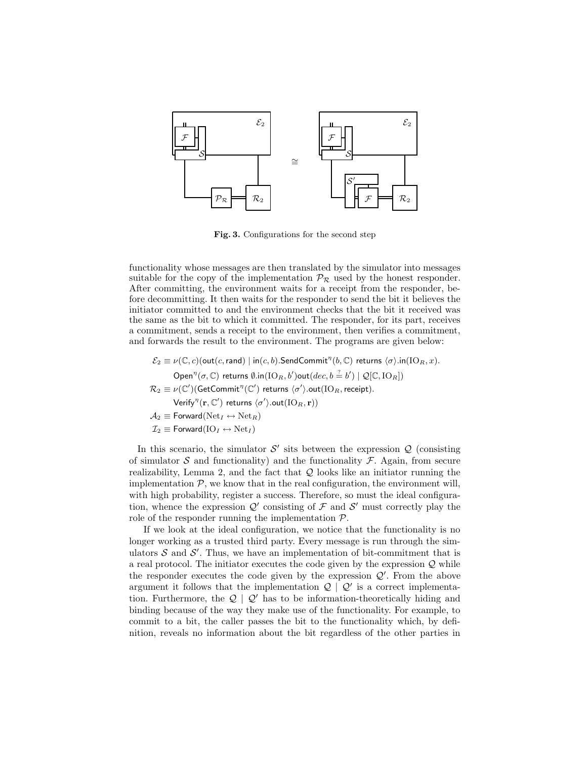

Fig. 3. Configurations for the second step

functionality whose messages are then translated by the simulator into messages suitable for the copy of the implementation  $\mathcal{P}_{\mathcal{R}}$  used by the honest responder. After committing, the environment waits for a receipt from the responder, before decommitting. It then waits for the responder to send the bit it believes the initiator committed to and the environment checks that the bit it received was the same as the bit to which it committed. The responder, for its part, receives a commitment, sends a receipt to the environment, then verifies a commitment, and forwards the result to the environment. The programs are given below:

 $\mathcal{E}_2 \equiv \nu(\mathbb{C},c)$ (out $(c, \mathsf{rand}) \mid \mathsf{in}(c, b)$ .SendCommit $^{\eta}(b, \mathbb{C})$  returns  $\langle \sigma \rangle$ .in(IO $_R, x$ ).  $\mathsf{Open}^\eta(\sigma, \mathbb{C})$  returns  $\emptyset.\mathsf{in}(\mathrm{IO}_R, b')$ out $(dec, b \stackrel{?}{=} b') \mid \mathcal{Q}[\mathbb{C}, \mathrm{IO}_R])$  $\mathcal{R}_2 \equiv \nu(\mathbb{C}^\prime)$ (GetCommit $^\eta(\mathbb{C}^\prime)$  returns  $\langle \sigma^\prime \rangle.$ out $(\mathrm{IO}_R,$  receipt). Verify $^{\eta}({\bf r},\mathbb{C}')$  returns  $\langle\sigma'\rangle.$ out $(\mathrm{IO}_R,{\bf r}))$  $A_2 \equiv$  Forward( ${\rm Net}_I \leftrightarrow {\rm Net}_R$ )  $\mathcal{I}_2 \equiv$  Forward(IO<sub>I</sub>  $\leftrightarrow$  Net<sub>I</sub>)

In this scenario, the simulator  $\mathcal{S}'$  sits between the expression  $\mathcal{Q}$  (consisting of simulator S and functionality) and the functionality  $\mathcal F$ . Again, from secure realizability, Lemma 2, and the fact that  $Q$  looks like an initiator running the implementation  $P$ , we know that in the real configuration, the environment will, with high probability, register a success. Therefore, so must the ideal configuration, whence the expression  $Q'$  consisting of  $\mathcal F$  and  $\mathcal S'$  must correctly play the role of the responder running the implementation  $P$ .

If we look at the ideal configuration, we notice that the functionality is no longer working as a trusted third party. Every message is run through the simulators  $S$  and  $S'$ . Thus, we have an implementation of bit-commitment that is a real protocol. The initiator executes the code given by the expression  $Q$  while the responder executes the code given by the expression  $Q'$ . From the above argument it follows that the implementation  $\mathcal{Q} \mid \mathcal{Q}'$  is a correct implementation. Furthermore, the  $\mathcal{Q} \mid \mathcal{Q}'$  has to be information-theoretically hiding and binding because of the way they make use of the functionality. For example, to commit to a bit, the caller passes the bit to the functionality which, by definition, reveals no information about the bit regardless of the other parties in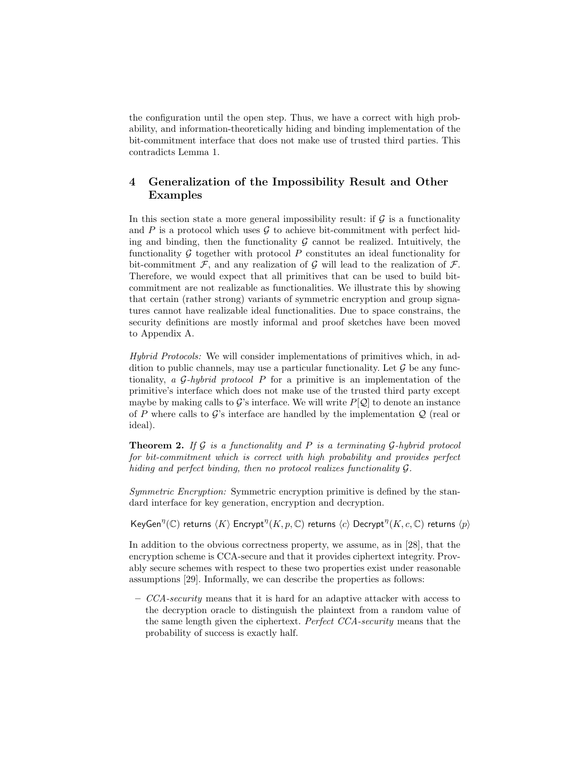the configuration until the open step. Thus, we have a correct with high probability, and information-theoretically hiding and binding implementation of the bit-commitment interface that does not make use of trusted third parties. This contradicts Lemma 1.

# 4 Generalization of the Impossibility Result and Other Examples

In this section state a more general impossibility result: if  $\mathcal G$  is a functionality and P is a protocol which uses G to achieve bit-commitment with perfect hiding and binding, then the functionality  $\mathcal G$  cannot be realized. Intuitively, the functionality  $G$  together with protocol  $P$  constitutes an ideal functionality for bit-commitment  $\mathcal F$ , and any realization of  $\mathcal G$  will lead to the realization of  $\mathcal F$ . Therefore, we would expect that all primitives that can be used to build bitcommitment are not realizable as functionalities. We illustrate this by showing that certain (rather strong) variants of symmetric encryption and group signatures cannot have realizable ideal functionalities. Due to space constrains, the security definitions are mostly informal and proof sketches have been moved to Appendix A.

Hybrid Protocols: We will consider implementations of primitives which, in addition to public channels, may use a particular functionality. Let  $\mathcal G$  be any functionality, a  $\mathcal{G}\text{-}hybrid$  protocol P for a primitive is an implementation of the primitive's interface which does not make use of the trusted third party except maybe by making calls to G's interface. We will write  $P[Q]$  to denote an instance of P where calls to  $\mathcal{G}'$ 's interface are handled by the implementation  $\mathcal{Q}$  (real or ideal).

**Theorem 2.** If G is a functionality and P is a terminating G-hybrid protocol for bit-commitment which is correct with high probability and provides perfect hiding and perfect binding, then no protocol realizes functionality G.

Symmetric Encryption: Symmetric encryption primitive is defined by the standard interface for key generation, encryption and decryption.

KeyGen $^{\eta}(\mathbb{C})$  returns  $\langle K \rangle$  Encrypt $^{\eta}(K, p, \mathbb{C})$  returns  $\langle c \rangle$  Decrypt $^{\eta}(K, c, \mathbb{C})$  returns  $\langle p \rangle$ 

In addition to the obvious correctness property, we assume, as in [28], that the encryption scheme is CCA-secure and that it provides ciphertext integrity. Provably secure schemes with respect to these two properties exist under reasonable assumptions [29]. Informally, we can describe the properties as follows:

 $-$  CCA-security means that it is hard for an adaptive attacker with access to the decryption oracle to distinguish the plaintext from a random value of the same length given the ciphertext. Perfect CCA-security means that the probability of success is exactly half.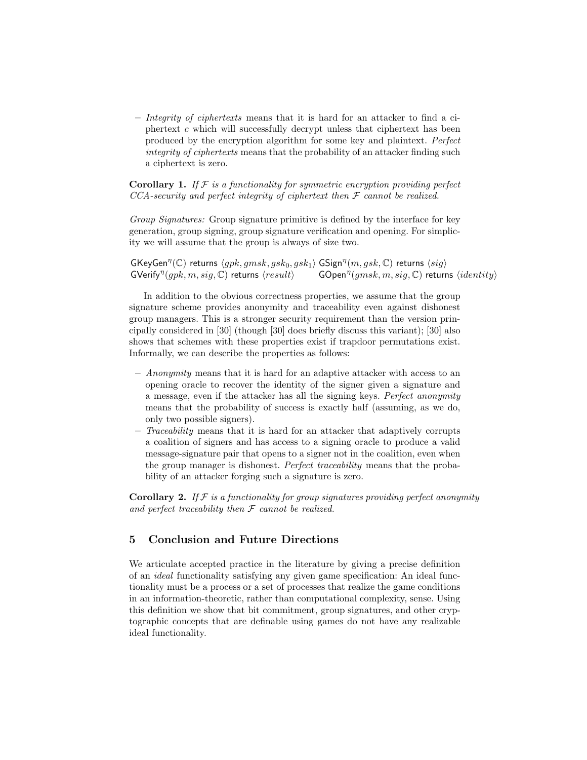– Integrity of ciphertexts means that it is hard for an attacker to find a ciphertext c which will successfully decrypt unless that ciphertext has been produced by the encryption algorithm for some key and plaintext. Perfect integrity of ciphertexts means that the probability of an attacker finding such a ciphertext is zero.

**Corollary 1.** If  $\mathcal F$  is a functionality for symmetric encryption providing perfect  $CCA$ -security and perfect integrity of ciphertext then  $\mathcal F$  cannot be realized.

Group Signatures: Group signature primitive is defined by the interface for key generation, group signing, group signature verification and opening. For simplicity we will assume that the group is always of size two.

 $\mathsf{GKeyGen}^{\eta}(\mathbb{C})$  returns  $\langle gpk, gmsk, gsk_0, gsk_1\rangle$   $\mathsf{GSign}^{\eta}(m, gsk, \mathbb{C})$  returns  $\langle sig\rangle$  $\mathsf{GVerify}^\eta(gpk, m, sig, \mathbb{C})$  returns  $\langle result \rangle$  GOpen $^\eta$  $GOpen<sup>\eta</sup>(gmsk, m, sig, \mathbb{C})$  returns  $\langle identity \rangle$ 

In addition to the obvious correctness properties, we assume that the group signature scheme provides anonymity and traceability even against dishonest group managers. This is a stronger security requirement than the version principally considered in [30] (though [30] does briefly discuss this variant); [30] also shows that schemes with these properties exist if trapdoor permutations exist. Informally, we can describe the properties as follows:

- Anonymity means that it is hard for an adaptive attacker with access to an opening oracle to recover the identity of the signer given a signature and a message, even if the attacker has all the signing keys. Perfect anonymity means that the probability of success is exactly half (assuming, as we do, only two possible signers).
- Traceability means that it is hard for an attacker that adaptively corrupts a coalition of signers and has access to a signing oracle to produce a valid message-signature pair that opens to a signer not in the coalition, even when the group manager is dishonest. Perfect traceability means that the probability of an attacker forging such a signature is zero.

**Corollary 2.** If  $\mathcal F$  is a functionality for group signatures providing perfect anonymity and perfect traceability then  $\mathcal F$  cannot be realized.

## 5 Conclusion and Future Directions

We articulate accepted practice in the literature by giving a precise definition of an ideal functionality satisfying any given game specification: An ideal functionality must be a process or a set of processes that realize the game conditions in an information-theoretic, rather than computational complexity, sense. Using this definition we show that bit commitment, group signatures, and other cryptographic concepts that are definable using games do not have any realizable ideal functionality.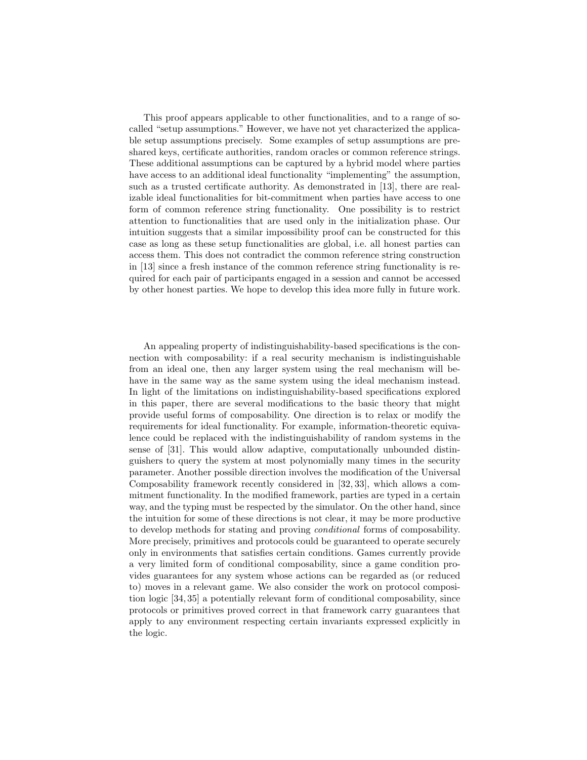This proof appears applicable to other functionalities, and to a range of socalled "setup assumptions." However, we have not yet characterized the applicable setup assumptions precisely. Some examples of setup assumptions are preshared keys, certificate authorities, random oracles or common reference strings. These additional assumptions can be captured by a hybrid model where parties have access to an additional ideal functionality "implementing" the assumption, such as a trusted certificate authority. As demonstrated in [13], there are realizable ideal functionalities for bit-commitment when parties have access to one form of common reference string functionality. One possibility is to restrict attention to functionalities that are used only in the initialization phase. Our intuition suggests that a similar impossibility proof can be constructed for this case as long as these setup functionalities are global, i.e. all honest parties can access them. This does not contradict the common reference string construction in [13] since a fresh instance of the common reference string functionality is required for each pair of participants engaged in a session and cannot be accessed by other honest parties. We hope to develop this idea more fully in future work.

An appealing property of indistinguishability-based specifications is the connection with composability: if a real security mechanism is indistinguishable from an ideal one, then any larger system using the real mechanism will behave in the same way as the same system using the ideal mechanism instead. In light of the limitations on indistinguishability-based specifications explored in this paper, there are several modifications to the basic theory that might provide useful forms of composability. One direction is to relax or modify the requirements for ideal functionality. For example, information-theoretic equivalence could be replaced with the indistinguishability of random systems in the sense of [31]. This would allow adaptive, computationally unbounded distinguishers to query the system at most polynomially many times in the security parameter. Another possible direction involves the modification of the Universal Composability framework recently considered in [32, 33], which allows a commitment functionality. In the modified framework, parties are typed in a certain way, and the typing must be respected by the simulator. On the other hand, since the intuition for some of these directions is not clear, it may be more productive to develop methods for stating and proving conditional forms of composability. More precisely, primitives and protocols could be guaranteed to operate securely only in environments that satisfies certain conditions. Games currently provide a very limited form of conditional composability, since a game condition provides guarantees for any system whose actions can be regarded as (or reduced to) moves in a relevant game. We also consider the work on protocol composition logic [34, 35] a potentially relevant form of conditional composability, since protocols or primitives proved correct in that framework carry guarantees that apply to any environment respecting certain invariants expressed explicitly in the logic.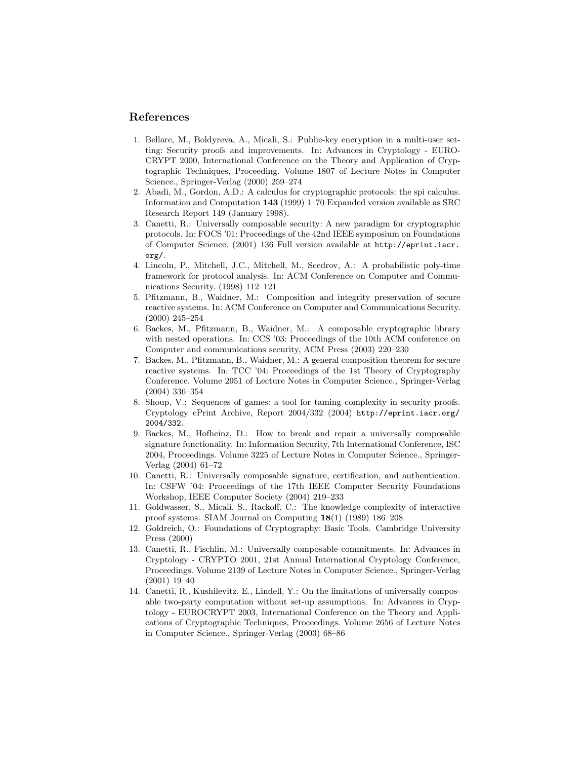### References

- 1. Bellare, M., Boldyreva, A., Micali, S.: Public-key encryption in a multi-user setting: Security proofs and improvements. In: Advances in Cryptology - EURO-CRYPT 2000, International Conference on the Theory and Application of Cryptographic Techniques, Proceeding. Volume 1807 of Lecture Notes in Computer Science., Springer-Verlag (2000) 259–274
- 2. Abadi, M., Gordon, A.D.: A calculus for cryptographic protocols: the spi calculus. Information and Computation 143 (1999) 1–70 Expanded version available as SRC Research Report 149 (January 1998).
- 3. Canetti, R.: Universally composable security: A new paradigm for cryptographic protocols. In: FOCS '01: Proceedings of the 42nd IEEE symposium on Foundations of Computer Science. (2001) 136 Full version available at http://eprint.iacr. org/.
- 4. Lincoln, P., Mitchell, J.C., Mitchell, M., Scedrov, A.: A probabilistic poly-time framework for protocol analysis. In: ACM Conference on Computer and Communications Security. (1998) 112–121
- 5. Pfitzmann, B., Waidner, M.: Composition and integrity preservation of secure reactive systems. In: ACM Conference on Computer and Communications Security. (2000) 245–254
- 6. Backes, M., Pfitzmann, B., Waidner, M.: A composable cryptographic library with nested operations. In: CCS '03: Proceedings of the 10th ACM conference on Computer and communications security, ACM Press (2003) 220–230
- 7. Backes, M., Pfitzmann, B., Waidner, M.: A general composition theorem for secure reactive systems. In: TCC '04: Proceedings of the 1st Theory of Cryptography Conference. Volume 2951 of Lecture Notes in Computer Science., Springer-Verlag (2004) 336–354
- 8. Shoup, V.: Sequences of games: a tool for taming complexity in security proofs. Cryptology ePrint Archive, Report 2004/332 (2004) http://eprint.iacr.org/ 2004/332.
- 9. Backes, M., Hofheinz, D.: How to break and repair a universally composable signature functionality. In: Information Security, 7th International Conference, ISC 2004, Proceedings. Volume 3225 of Lecture Notes in Computer Science., Springer-Verlag (2004) 61–72
- 10. Canetti, R.: Universally composable signature, certification, and authentication. In: CSFW '04: Proceedings of the 17th IEEE Computer Security Foundations Workshop, IEEE Computer Society (2004) 219–233
- 11. Goldwasser, S., Micali, S., Rackoff, C.: The knowledge complexity of interactive proof systems. SIAM Journal on Computing 18(1) (1989) 186–208
- 12. Goldreich, O.: Foundations of Cryptography: Basic Tools. Cambridge University Press (2000)
- 13. Canetti, R., Fischlin, M.: Universally composable commitments. In: Advances in Cryptology - CRYPTO 2001, 21st Annual International Cryptology Conference, Proceedings. Volume 2139 of Lecture Notes in Computer Science., Springer-Verlag (2001) 19–40
- 14. Canetti, R., Kushilevitz, E., Lindell, Y.: On the limitations of universally composable two-party computation without set-up assumptions. In: Advances in Cryptology - EUROCRYPT 2003, International Conference on the Theory and Applications of Cryptographic Techniques, Proceedings. Volume 2656 of Lecture Notes in Computer Science., Springer-Verlag (2003) 68–86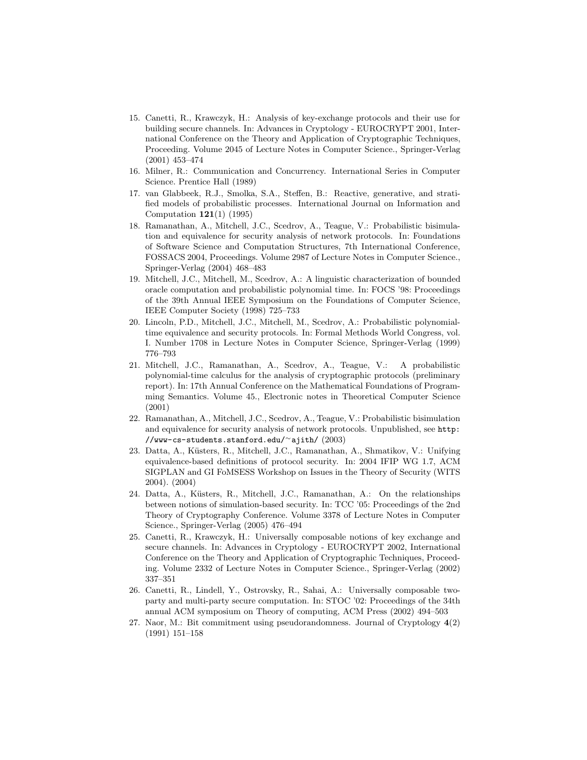- 15. Canetti, R., Krawczyk, H.: Analysis of key-exchange protocols and their use for building secure channels. In: Advances in Cryptology - EUROCRYPT 2001, International Conference on the Theory and Application of Cryptographic Techniques, Proceeding. Volume 2045 of Lecture Notes in Computer Science., Springer-Verlag (2001) 453–474
- 16. Milner, R.: Communication and Concurrency. International Series in Computer Science. Prentice Hall (1989)
- 17. van Glabbeek, R.J., Smolka, S.A., Steffen, B.: Reactive, generative, and stratified models of probabilistic processes. International Journal on Information and Computation 121(1) (1995)
- 18. Ramanathan, A., Mitchell, J.C., Scedrov, A., Teague, V.: Probabilistic bisimulation and equivalence for security analysis of network protocols. In: Foundations of Software Science and Computation Structures, 7th International Conference, FOSSACS 2004, Proceedings. Volume 2987 of Lecture Notes in Computer Science., Springer-Verlag (2004) 468–483
- 19. Mitchell, J.C., Mitchell, M., Scedrov, A.: A linguistic characterization of bounded oracle computation and probabilistic polynomial time. In: FOCS '98: Proceedings of the 39th Annual IEEE Symposium on the Foundations of Computer Science, IEEE Computer Society (1998) 725–733
- 20. Lincoln, P.D., Mitchell, J.C., Mitchell, M., Scedrov, A.: Probabilistic polynomialtime equivalence and security protocols. In: Formal Methods World Congress, vol. I. Number 1708 in Lecture Notes in Computer Science, Springer-Verlag (1999) 776–793
- 21. Mitchell, J.C., Ramanathan, A., Scedrov, A., Teague, V.: A probabilistic polynomial-time calculus for the analysis of cryptographic protocols (preliminary report). In: 17th Annual Conference on the Mathematical Foundations of Programming Semantics. Volume 45., Electronic notes in Theoretical Computer Science (2001)
- 22. Ramanathan, A., Mitchell, J.C., Scedrov, A., Teague, V.: Probabilistic bisimulation and equivalence for security analysis of network protocols. Unpublished, see http: //www-cs-students.stanford.edu/<sup>∼</sup>ajith/ (2003)
- 23. Datta, A., Küsters, R., Mitchell, J.C., Ramanathan, A., Shmatikov, V.: Unifying equivalence-based definitions of protocol security. In: 2004 IFIP WG 1.7, ACM SIGPLAN and GI FoMSESS Workshop on Issues in the Theory of Security (WITS 2004). (2004)
- 24. Datta, A., Küsters, R., Mitchell, J.C., Ramanathan, A.: On the relationships between notions of simulation-based security. In: TCC '05: Proceedings of the 2nd Theory of Cryptography Conference. Volume 3378 of Lecture Notes in Computer Science., Springer-Verlag (2005) 476–494
- 25. Canetti, R., Krawczyk, H.: Universally composable notions of key exchange and secure channels. In: Advances in Cryptology - EUROCRYPT 2002, International Conference on the Theory and Application of Cryptographic Techniques, Proceeding. Volume 2332 of Lecture Notes in Computer Science., Springer-Verlag (2002) 337–351
- 26. Canetti, R., Lindell, Y., Ostrovsky, R., Sahai, A.: Universally composable twoparty and multi-party secure computation. In: STOC '02: Proceedings of the 34th annual ACM symposium on Theory of computing, ACM Press (2002) 494–503
- 27. Naor, M.: Bit commitment using pseudorandomness. Journal of Cryptology 4(2) (1991) 151–158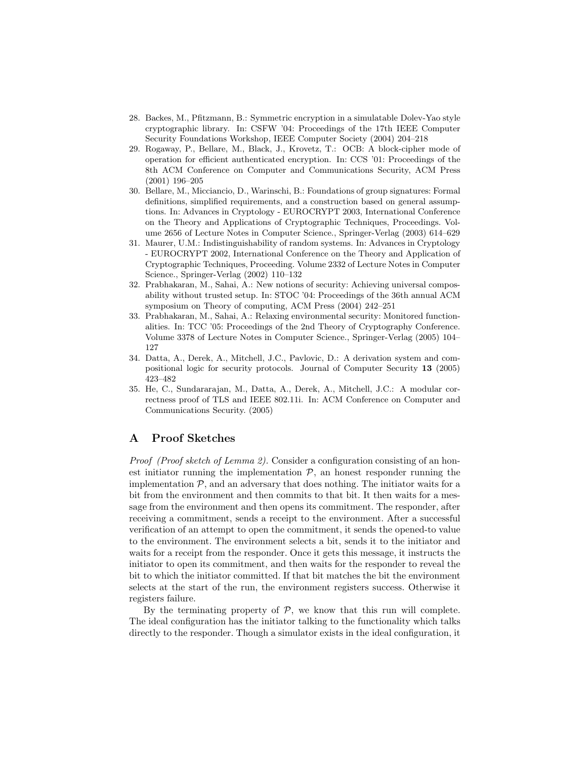- 28. Backes, M., Pfitzmann, B.: Symmetric encryption in a simulatable Dolev-Yao style cryptographic library. In: CSFW '04: Proceedings of the 17th IEEE Computer Security Foundations Workshop, IEEE Computer Society (2004) 204–218
- 29. Rogaway, P., Bellare, M., Black, J., Krovetz, T.: OCB: A block-cipher mode of operation for efficient authenticated encryption. In: CCS '01: Proceedings of the 8th ACM Conference on Computer and Communications Security, ACM Press (2001) 196–205
- 30. Bellare, M., Micciancio, D., Warinschi, B.: Foundations of group signatures: Formal definitions, simplified requirements, and a construction based on general assumptions. In: Advances in Cryptology - EUROCRYPT 2003, International Conference on the Theory and Applications of Cryptographic Techniques, Proceedings. Volume 2656 of Lecture Notes in Computer Science., Springer-Verlag (2003) 614–629
- 31. Maurer, U.M.: Indistinguishability of random systems. In: Advances in Cryptology - EUROCRYPT 2002, International Conference on the Theory and Application of Cryptographic Techniques, Proceeding. Volume 2332 of Lecture Notes in Computer Science., Springer-Verlag (2002) 110–132
- 32. Prabhakaran, M., Sahai, A.: New notions of security: Achieving universal composability without trusted setup. In: STOC '04: Proceedings of the 36th annual ACM symposium on Theory of computing, ACM Press (2004) 242–251
- 33. Prabhakaran, M., Sahai, A.: Relaxing environmental security: Monitored functionalities. In: TCC '05: Proceedings of the 2nd Theory of Cryptography Conference. Volume 3378 of Lecture Notes in Computer Science., Springer-Verlag (2005) 104– 127
- 34. Datta, A., Derek, A., Mitchell, J.C., Pavlovic, D.: A derivation system and compositional logic for security protocols. Journal of Computer Security 13 (2005) 423–482
- 35. He, C., Sundararajan, M., Datta, A., Derek, A., Mitchell, J.C.: A modular correctness proof of TLS and IEEE 802.11i. In: ACM Conference on Computer and Communications Security. (2005)

# A Proof Sketches

Proof (Proof sketch of Lemma 2). Consider a configuration consisting of an honest initiator running the implementation  $P$ , an honest responder running the implementation  $P$ , and an adversary that does nothing. The initiator waits for a bit from the environment and then commits to that bit. It then waits for a message from the environment and then opens its commitment. The responder, after receiving a commitment, sends a receipt to the environment. After a successful verification of an attempt to open the commitment, it sends the opened-to value to the environment. The environment selects a bit, sends it to the initiator and waits for a receipt from the responder. Once it gets this message, it instructs the initiator to open its commitment, and then waits for the responder to reveal the bit to which the initiator committed. If that bit matches the bit the environment selects at the start of the run, the environment registers success. Otherwise it registers failure.

By the terminating property of  $P$ , we know that this run will complete. The ideal configuration has the initiator talking to the functionality which talks directly to the responder. Though a simulator exists in the ideal configuration, it